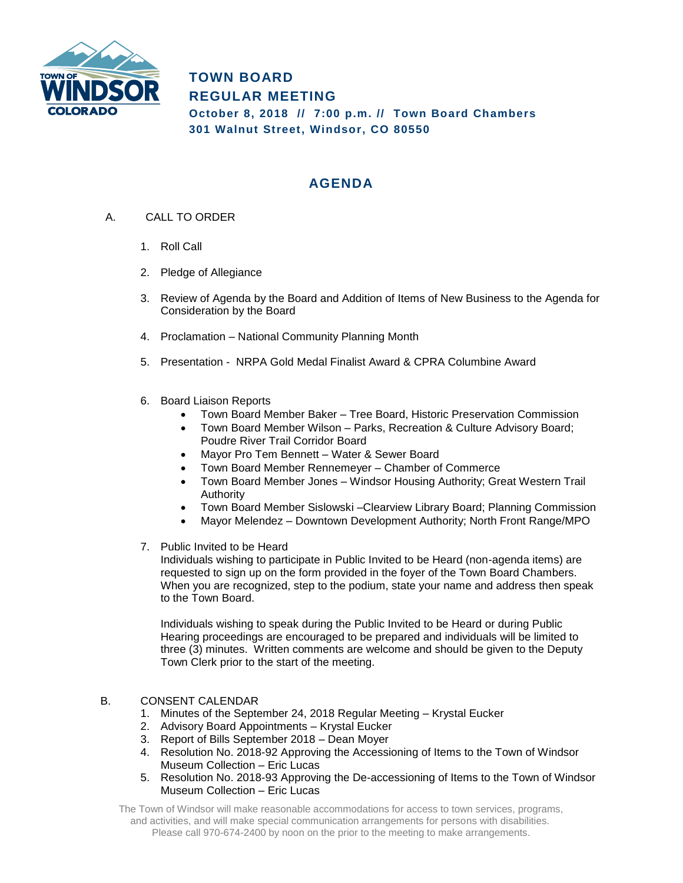

**TOWN BOARD REGULAR MEETING October 8, 2018 // 7:00 p.m. // Town Board Chambers 301 Walnut Street, Windsor, CO 80550**

## **AGENDA**

- A. CALL TO ORDER
	- 1. Roll Call
	- 2. Pledge of Allegiance
	- 3. Review of Agenda by the Board and Addition of Items of New Business to the Agenda for Consideration by the Board
	- 4. Proclamation National Community Planning Month
	- 5. Presentation NRPA Gold Medal Finalist Award & CPRA Columbine Award
	- 6. Board Liaison Reports
		- Town Board Member Baker Tree Board, Historic Preservation Commission
		- Town Board Member Wilson Parks, Recreation & Culture Advisory Board; Poudre River Trail Corridor Board
		- Mayor Pro Tem Bennett Water & Sewer Board
		- Town Board Member Rennemeyer Chamber of Commerce
		- Town Board Member Jones Windsor Housing Authority; Great Western Trail Authority
		- Town Board Member Sislowski –Clearview Library Board; Planning Commission
		- Mayor Melendez Downtown Development Authority; North Front Range/MPO
	- 7. Public Invited to be Heard

Individuals wishing to participate in Public Invited to be Heard (non-agenda items) are requested to sign up on the form provided in the foyer of the Town Board Chambers. When you are recognized, step to the podium, state your name and address then speak to the Town Board.

Individuals wishing to speak during the Public Invited to be Heard or during Public Hearing proceedings are encouraged to be prepared and individuals will be limited to three (3) minutes. Written comments are welcome and should be given to the Deputy Town Clerk prior to the start of the meeting.

## B. CONSENT CALENDAR

- 1. Minutes of the September 24, 2018 Regular Meeting Krystal Eucker
- 2. Advisory Board Appointments Krystal Eucker
- 3. Report of Bills September 2018 Dean Moyer
- 4. Resolution No. 2018-92 Approving the Accessioning of Items to the Town of Windsor Museum Collection – Eric Lucas
- 5. Resolution No. 2018-93 Approving the De-accessioning of Items to the Town of Windsor Museum Collection – Eric Lucas

The Town of Windsor will make reasonable accommodations for access to town services, programs, and activities, and will make special communication arrangements for persons with disabilities. Please call 970-674-2400 by noon on the prior to the meeting to make arrangements.